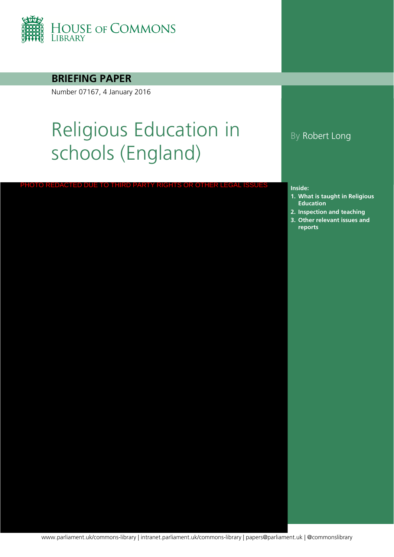

### **BRIEFING PAPER**

Number 07167, 4 January 2016

# Religious Education in schools (England)

#### PHOTO REDACTED DUE TO THIRD PARTY RIGHTS OR OTHER LEGAL ISSUES

### By Robert Long

#### **Inside:**

- **1. What is taught in Religious Education**
- **2. [Inspection and teaching](#page-12-0)**
- **3. Other relevant issues and reports**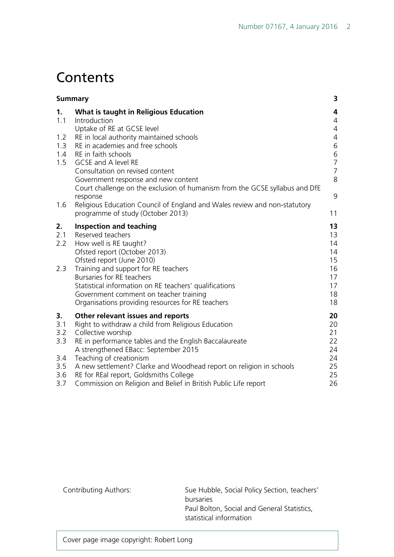# **Contents**

|                                                     | <b>Summary</b>                                                                                                                                                                                                                                                                                                                                                                                                                 |                                                              |
|-----------------------------------------------------|--------------------------------------------------------------------------------------------------------------------------------------------------------------------------------------------------------------------------------------------------------------------------------------------------------------------------------------------------------------------------------------------------------------------------------|--------------------------------------------------------------|
| 1.<br>1.1                                           | What is taught in Religious Education<br>Introduction<br>Uptake of RE at GCSE level                                                                                                                                                                                                                                                                                                                                            | 4<br>$\overline{4}$<br>$\overline{4}$                        |
| 1.2<br>1.3<br>1.4                                   | RE in local authority maintained schools<br>RE in academies and free schools<br>RE in faith schools                                                                                                                                                                                                                                                                                                                            | $\overline{4}$<br>6                                          |
| 1.5                                                 | GCSE and A level RE<br>Consultation on revised content<br>Government response and new content                                                                                                                                                                                                                                                                                                                                  | $\begin{array}{c} 6 \\ 7 \end{array}$<br>$\overline{7}$<br>8 |
| 1.6                                                 | Court challenge on the exclusion of humanism from the GCSE syllabus and DfE<br>response<br>Religious Education Council of England and Wales review and non-statutory                                                                                                                                                                                                                                                           | 9                                                            |
|                                                     | programme of study (October 2013)                                                                                                                                                                                                                                                                                                                                                                                              | 11                                                           |
| 2.<br>2.1<br>2.2<br>2.3                             | <b>Inspection and teaching</b><br>Reserved teachers<br>How well is RE taught?<br>Ofsted report (October 2013)<br>Ofsted report (June 2010)<br>Training and support for RE teachers<br>Bursaries for RE teachers<br>Statistical information on RE teachers' qualifications<br>Government comment on teacher training<br>Organisations providing resources for RE teachers                                                       | 13<br>13<br>14<br>14<br>15<br>16<br>17<br>17<br>18<br>18     |
| 3.<br>3.1<br>3.2<br>3.3<br>3.4<br>3.5<br>3.6<br>3.7 | Other relevant issues and reports<br>Right to withdraw a child from Religious Education<br>Collective worship<br>RE in performance tables and the English Baccalaureate<br>A strengthened EBacc: September 2015<br>Teaching of creationism<br>A new settlement? Clarke and Woodhead report on religion in schools<br>RE for REal report, Goldsmiths College<br>Commission on Religion and Belief in British Public Life report | 20<br>20<br>21<br>22<br>24<br>24<br>25<br>25<br>26           |

Contributing Authors: Sue Hubble, Social Policy Section, teachers' bursaries Paul Bolton, Social and General Statistics, statistical information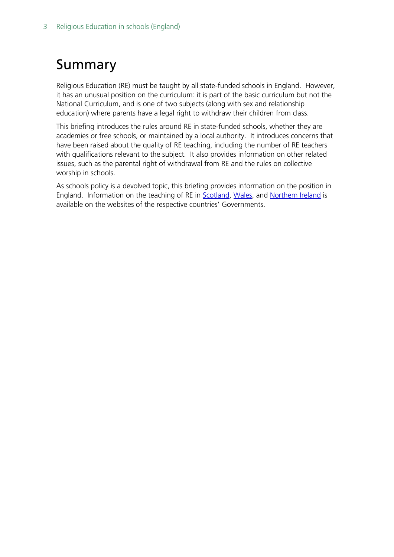# <span id="page-2-0"></span>Summary

Religious Education (RE) must be taught by all state-funded schools in England. However, it has an unusual position on the curriculum: it is part of the basic curriculum but not the National Curriculum, and is one of two subjects (along with sex and relationship education) where parents have a legal right to withdraw their children from class.

This briefing introduces the rules around RE in state-funded schools, whether they are academies or free schools, or maintained by a local authority. It introduces concerns that have been raised about the quality of RE teaching, including the number of RE teachers with qualifications relevant to the subject. It also provides information on other related issues, such as the parental right of withdrawal from RE and the rules on collective worship in schools.

As schools policy is a devolved topic, this briefing provides information on the position in England. Information on the teaching of RE in [Scotland,](http://www.educationscotland.gov.uk/learningandteaching/curriculumareas/rme/) [Wales,](http://learning.wales.gov.uk/resources/browse-all/national-exemplar-framework-re/?lang=en) and [Northern Ireland](http://www.deni.gov.uk/index/80-curriculum-and-assessment/80-curriculum-and-assessment-religiouseducationcoresyllabus-pg.htm) is available on the websites of the respective countries' Governments.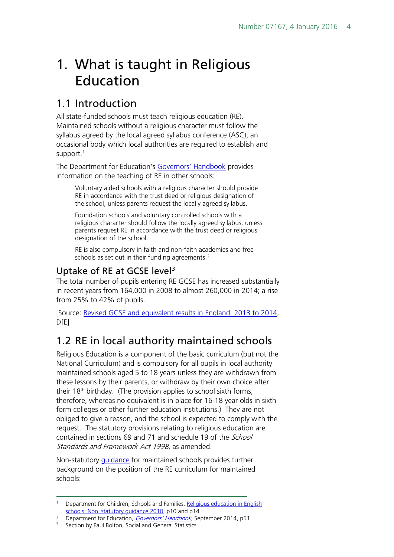# <span id="page-3-0"></span>1. What is taught in Religious Education

## <span id="page-3-1"></span>1.1 Introduction

All state-funded schools must teach religious education (RE). Maintained schools without a religious character must follow the syllabus agreed by the local agreed syllabus conference (ASC), an occasional body which local authorities are required to establish and support.<sup>[1](#page-3-4)</sup>

The Department for Education's [Governors' Handbook](https://www.gov.uk/government/uploads/system/uploads/attachment_data/file/395789/Governors_Handbook.pdf) provides information on the teaching of RE in other schools:

Voluntary aided schools with a religious character should provide RE in accordance with the trust deed or religious designation of the school, unless parents request the locally agreed syllabus.

Foundation schools and voluntary controlled schools with a religious character should follow the locally agreed syllabus, unless parents request RE in accordance with the trust deed or religious designation of the school.

RE is also compulsory in faith and non-faith academies and free schools as set out in their funding agreements.<sup>[2](#page-3-5)</sup>

### <span id="page-3-2"></span>Uptake of RE at GCSE level<sup>[3](#page-3-6)</sup>

The total number of pupils entering RE GCSE has increased substantially in recent years from 164,000 in 2008 to almost 260,000 in 2014; a rise from 25% to 42% of pupils.

[Source: [Revised GCSE and equivalent results in England: 2013 to 2014](https://www.gov.uk/government/statistics/revised-gcse-and-equivalent-results-in-england-2013-to-2014), DfE]

# <span id="page-3-3"></span>1.2 RE in local authority maintained schools

Religious Education is a component of the basic curriculum (but not the National Curriculum) and is compulsory for all pupils in local authority maintained schools aged 5 to 18 years unless they are withdrawn from these lessons by their parents, or withdraw by their own choice after their 18th birthday. (The provision applies to school sixth forms, therefore, whereas no equivalent is in place for 16-18 year olds in sixth form colleges or other further education institutions.) They are not obliged to give a reason, and the school is expected to comply with the request. The statutory provisions relating to religious education are contained in sections 69 and 71 and schedule 19 of the School Standards and Framework Act 1998, as amended.

Non-statutory [guidance](https://www.gov.uk/government/uploads/system/uploads/attachment_data/file/190260/DCSF-00114-2010.pdf) for maintained schools provides further background on the position of the RE curriculum for maintained schools:

<span id="page-3-4"></span><sup>&</sup>lt;sup>1</sup> Department for Children, Schools and Families, Religious education in English schools: Non-[statutory guidance 2010,](https://www.gov.uk/government/uploads/system/uploads/attachment_data/file/190260/DCSF-00114-2010.pdf) p10 and p14

<span id="page-3-6"></span><span id="page-3-5"></span><sup>&</sup>lt;sup>2</sup> Department for Education, *[Governors' Handbook](https://www.gov.uk/government/uploads/system/uploads/attachment_data/file/395789/Governors_Handbook.pdf)*, September 2014, p51<br><sup>3</sup> Section by Paul Bolton, Social and General Statistics

Section by Paul Bolton, Social and General Statistics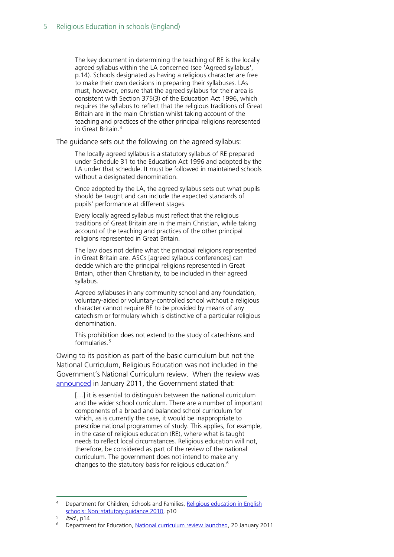The key document in determining the teaching of RE is the locally agreed syllabus within the LA concerned (see 'Agreed syllabus', p.14). Schools designated as having a religious character are free to make their own decisions in preparing their syllabuses. LAs must, however, ensure that the agreed syllabus for their area is consistent with Section 375(3) of the Education Act 1996, which requires the syllabus to reflect that the religious traditions of Great Britain are in the main Christian whilst taking account of the teaching and practices of the other principal religions represented in Great Britain.[4](#page-4-0)

The guidance sets out the following on the agreed syllabus:

The locally agreed syllabus is a statutory syllabus of RE prepared under Schedule 31 to the Education Act 1996 and adopted by the LA under that schedule. It must be followed in maintained schools without a designated denomination.

Once adopted by the LA, the agreed syllabus sets out what pupils should be taught and can include the expected standards of pupils' performance at different stages.

Every locally agreed syllabus must reflect that the religious traditions of Great Britain are in the main Christian, while taking account of the teaching and practices of the other principal religions represented in Great Britain.

The law does not define what the principal religions represented in Great Britain are. ASCs [agreed syllabus conferences] can decide which are the principal religions represented in Great Britain, other than Christianity, to be included in their agreed syllabus.

Agreed syllabuses in any community school and any foundation, voluntary-aided or voluntary-controlled school without a religious character cannot require RE to be provided by means of any catechism or formulary which is distinctive of a particular religious denomination.

This prohibition does not extend to the study of catechisms and formularies.<sup>[5](#page-4-1)</sup>

Owing to its position as part of the basic curriculum but not the National Curriculum, Religious Education was not included in the Government's National Curriculum review. When the review was [announced](https://www.gov.uk/government/news/national-curriculum-review-launched) in January 2011, the Government stated that:

[...] it is essential to distinguish between the national curriculum and the wider school curriculum. There are a number of important components of a broad and balanced school curriculum for which, as is currently the case, it would be inappropriate to prescribe national programmes of study. This applies, for example, in the case of religious education (RE), where what is taught needs to reflect local circumstances. Religious education will not, therefore, be considered as part of the review of the national curriculum. The government does not intend to make any changes to the statutory basis for religious education.[6](#page-4-2)

<span id="page-4-0"></span>Department for Children, Schools and Families, Religious education in English schools: Non-[statutory guidance 2010,](https://www.gov.uk/government/uploads/system/uploads/attachment_data/file/190260/DCSF-00114-2010.pdf) p10

<sup>5</sup> Ibid., p14

<span id="page-4-2"></span><span id="page-4-1"></span><sup>6</sup> Department for Education, [National curriculum review launched,](https://www.gov.uk/government/news/national-curriculum-review-launched) 20 January 2011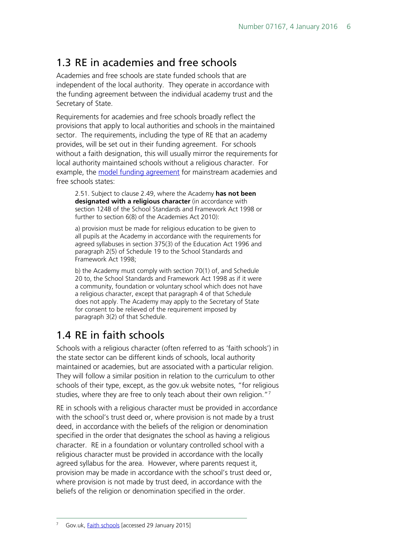## <span id="page-5-0"></span>1.3 RE in academies and free schools

Academies and free schools are state funded schools that are independent of the local authority. They operate in accordance with the funding agreement between the individual academy trust and the Secretary of State.

Requirements for academies and free schools broadly reflect the provisions that apply to local authorities and schools in the maintained sector. The requirements, including the type of RE that an academy provides, will be set out in their funding agreement. For schools without a faith designation, this will usually mirror the requirements for local authority maintained schools without a religious character. For example, the [model funding agreement](https://www.gov.uk/government/uploads/system/uploads/attachment_data/file/388207/Mainstream_academy_and_free_school_-_single_model_funding_agreement.pdf) for mainstream academies and free schools states:

2.51. Subject to clause 2.49, where the Academy **has not been designated with a religious character** (in accordance with section 124B of the School Standards and Framework Act 1998 or further to section 6(8) of the Academies Act 2010):

a) provision must be made for religious education to be given to all pupils at the Academy in accordance with the requirements for agreed syllabuses in section 375(3) of the Education Act 1996 and paragraph 2(5) of Schedule 19 to the School Standards and Framework Act 1998;

b) the Academy must comply with section 70(1) of, and Schedule 20 to, the School Standards and Framework Act 1998 as if it were a community, foundation or voluntary school which does not have a religious character, except that paragraph 4 of that Schedule does not apply. The Academy may apply to the Secretary of State for consent to be relieved of the requirement imposed by paragraph 3(2) of that Schedule.

# <span id="page-5-1"></span>1.4 RE in faith schools

Schools with a religious character (often referred to as 'faith schools') in the state sector can be different kinds of schools, local authority maintained or academies, but are associated with a particular religion. They will follow a similar position in relation to the curriculum to other schools of their type, except, as the gov.uk website notes, "for religious studies, where they are free to only teach about their own religion."<sup>[7](#page-5-2)</sup>

<span id="page-5-2"></span>RE in schools with a religious character must be provided in accordance with the school's trust deed or, where provision is not made by a trust deed, in accordance with the beliefs of the religion or denomination specified in the order that designates the school as having a religious character. RE in a foundation or voluntary controlled school with a religious character must be provided in accordance with the locally agreed syllabus for the area. However, where parents request it, provision may be made in accordance with the school's trust deed or, where provision is not made by trust deed, in accordance with the beliefs of the religion or denomination specified in the order.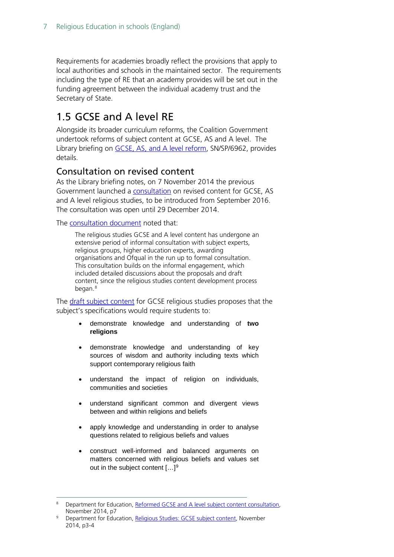Requirements for academies broadly reflect the provisions that apply to local authorities and schools in the maintained sector. The requirements including the type of RE that an academy provides will be set out in the funding agreement between the individual academy trust and the Secretary of State.

### <span id="page-6-0"></span>1.5 GCSE and A level RE

Alongside its broader curriculum reforms, the Coalition Government undertook reforms of subject content at GCSE, AS and A level. The Library briefing on [GCSE, AS, and A level reform,](http://www.parliament.uk/briefing-papers/SN06962/gcse-as-and-a-level-reform) SN/SP/6962, provides details.

### <span id="page-6-1"></span>Consultation on revised content

As the Library briefing notes, on 7 November 2014 the previous Government launched a [consultation](https://www.gov.uk/government/consultations/gcse-and-a-level-reform-religious-studies) on revised content for GCSE, AS and A level religious studies, to be introduced from September 2016. The consultation was open until 29 December 2014.

The [consultation document](https://www.gov.uk/government/uploads/system/uploads/attachment_data/file/372136/Reformed_GCSE_and_A_level_subject_content_consultation.pdf) noted that:

The religious studies GCSE and A level content has undergone an extensive period of informal consultation with subject experts, religious groups, higher education experts, awarding organisations and Ofqual in the run up to formal consultation. This consultation builds on the informal engagement, which included detailed discussions about the proposals and draft content, since the religious studies content development process began.<sup>[8](#page-6-2)</sup>

The [draft subject content](https://www.gov.uk/government/uploads/system/uploads/attachment_data/file/371723/Religious_Studies_GCSE_subject_content_for_consultation.pdf) for GCSE religious studies proposes that the subject's specifications would require students to:

- demonstrate knowledge and understanding of **two religions**
- demonstrate knowledge and understanding of key sources of wisdom and authority including texts which support contemporary religious faith
- understand the impact of religion on individuals, communities and societies
- understand significant common and divergent views between and within religions and beliefs
- apply knowledge and understanding in order to analyse questions related to religious beliefs and values
- construct well-informed and balanced arguments on matters concerned with religious beliefs and values set out in the subject content […][9](#page-6-3)

<span id="page-6-2"></span>Department for Education, [Reformed GCSE and A level subject content consultation,](https://www.gov.uk/government/uploads/system/uploads/attachment_data/file/372136/Reformed_GCSE_and_A_level_subject_content_consultation.pdf) November 2014, p7

<span id="page-6-3"></span><sup>&</sup>lt;sup>9</sup> Department for Education, [Religious Studies: GCSE subject content,](https://www.gov.uk/government/uploads/system/uploads/attachment_data/file/371723/Religious_Studies_GCSE_subject_content_for_consultation.pdf) November 2014, p3-4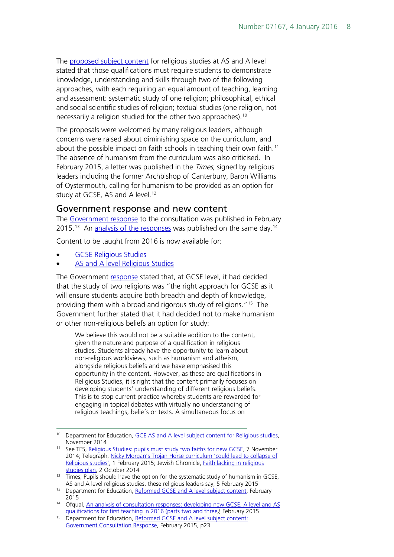The [proposed subject content](https://www.gov.uk/government/uploads/system/uploads/attachment_data/file/381388/Religious_Studies_AS_and_A_level_subject_content_for_consultation.pdf) for religious studies at AS and A level stated that those qualifications must require students to demonstrate knowledge, understanding and skills through two of the following approaches, with each requiring an equal amount of teaching, learning and assessment: systematic study of one religion; philosophical, ethical and social scientific studies of religion; textual studies (one religion, not necessarily a religion studied for the other two approaches).<sup>[10](#page-7-1)</sup>

The proposals were welcomed by many religious leaders, although concerns were raised about diminishing space on the curriculum, and about the possible impact on faith schools in teaching their own faith.<sup>11</sup> The absence of humanism from the curriculum was also criticised. In February 2015, a letter was published in the *Times*, signed by religious leaders including the former Archbishop of Canterbury, Baron Williams of Oystermouth, calling for humanism to be provided as an option for study at GCSE, AS and A level.<sup>[12](#page-7-3)</sup>

#### <span id="page-7-0"></span>Government response and new content

The [Government response](https://www.gov.uk/government/uploads/system/uploads/attachment_data/file/403347/Reformed_GCSE_and_A_level_subject_content_Government_response.pdf) to the consultation was published in February  $2015$ <sup>[13](#page-7-4)</sup> An [analysis of the responses](https://www.gov.uk/government/uploads/system/uploads/attachment_data/file/403542/an-analysis-of-consultation-responses-developing-new-gcse-a-level-and-as-quals-for-ft2016.pdf) was published on the same day.<sup>[14](#page-7-5)</sup>

Content to be taught from 2016 is now available for:

- [GCSE Religious Studies](https://www.gov.uk/government/uploads/system/uploads/attachment_data/file/403357/GCSE_RS_final_120215.pdf)
- [AS and A level Religious Studies](https://www.gov.uk/government/uploads/system/uploads/attachment_data/file/400965/Religious_Studies_AS_and_A_level_subject_content.pdf)

The Government [response](https://www.gov.uk/government/uploads/system/uploads/attachment_data/file/403347/Reformed_GCSE_and_A_level_subject_content_Government_response.pdf) stated that, at GCSE level, it had decided that the study of two religions was "the right approach for GCSE as it will ensure students acquire both breadth and depth of knowledge, providing them with a broad and rigorous study of religions."[15](#page-7-6) The Government further stated that it had decided not to make humanism or other non-religious beliefs an option for study:

We believe this would not be a suitable addition to the content, given the nature and purpose of a qualification in religious studies. Students already have the opportunity to learn about non-religious worldviews, such as humanism and atheism, alongside religious beliefs and we have emphasised this opportunity in the content. However, as these are qualifications in Religious Studies, it is right that the content primarily focuses on developing students' understanding of different religious beliefs. This is to stop current practice whereby students are rewarded for engaging in topical debates with virtually no understanding of religious teachings, beliefs or texts. A simultaneous focus on

<span id="page-7-1"></span><sup>&</sup>lt;sup>10</sup> Department for Education, [GCE AS and A level subject content for Religious studies,](https://www.gov.uk/government/uploads/system/uploads/attachment_data/file/381388/Religious_Studies_AS_and_A_level_subject_content_for_consultation.pdf) November 2014

<span id="page-7-2"></span><sup>&</sup>lt;sup>11</sup> See TES, [Religious Studies: pupils must study two faiths for new GCSE,](https://news.tes.co.uk/b/news/2014/11/07/pupils-must-study-two-religions-for-new-re-gcse.aspx) 7 November 2014; Telegraph, [Nicky Morgan's Trojan Horse curriculum 'could lead to collapse of](http://www.telegraph.co.uk/news/religion/11381019/Nicky-Morgans-Trojan-Horse-curriculum-could-lead-to-collapse-of-Religious-studies.html)  [Religious studies',](http://www.telegraph.co.uk/news/religion/11381019/Nicky-Morgans-Trojan-Horse-curriculum-could-lead-to-collapse-of-Religious-studies.html) 1 February 2015; Jewish Chronicle, Faith lacking in religious [studies plan,](http://www.thejc.com/comment-and-debate/analysis/123661/faith-lacking-religious-studies-plan) 2 October 2014

<span id="page-7-3"></span><sup>&</sup>lt;sup>12</sup> Times, Pupils should have the option for the systematic study of humanism in GCSE, AS and A level religious studies, these religious leaders say, 5 February 2015

<span id="page-7-4"></span><sup>&</sup>lt;sup>13</sup> Department for Education, [Reformed GCSE and A level subject content,](https://www.gov.uk/government/uploads/system/uploads/attachment_data/file/403347/Reformed_GCSE_and_A_level_subject_content_Government_response.pdf) February 2015

<span id="page-7-5"></span><sup>&</sup>lt;sup>14</sup> Ofqual, An analysis of consultation responses: developing new GCSE, A level and AS [qualifications for first teaching in 2016 \(parts two and three](https://www.gov.uk/government/uploads/system/uploads/attachment_data/file/403542/an-analysis-of-consultation-responses-developing-new-gcse-a-level-and-as-quals-for-ft2016.pdf)), February 2015

<span id="page-7-6"></span><sup>&</sup>lt;sup>15</sup> Department for Education, Reformed GCSE and A level subject content: [Government Consultation Response,](https://www.gov.uk/government/uploads/system/uploads/attachment_data/file/403347/Reformed_GCSE_and_A_level_subject_content_Government_response.pdf) February 2015, p23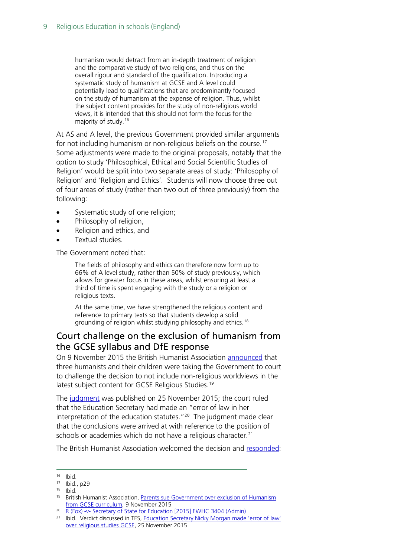humanism would detract from an in-depth treatment of religion and the comparative study of two religions, and thus on the overall rigour and standard of the qualification. Introducing a systematic study of humanism at GCSE and A level could potentially lead to qualifications that are predominantly focused on the study of humanism at the expense of religion. Thus, whilst the subject content provides for the study of non-religious world views, it is intended that this should not form the focus for the majority of study.<sup>[16](#page-8-1)</sup>

At AS and A level, the previous Government provided similar arguments for not including humanism or non-religious beliefs on the course.<sup>[17](#page-8-2)</sup> Some adjustments were made to the original proposals, notably that the option to study 'Philosophical, Ethical and Social Scientific Studies of Religion' would be split into two separate areas of study: 'Philosophy of Religion' and 'Religion and Ethics'. Students will now choose three out of four areas of study (rather than two out of three previously) from the following:

- Systematic study of one religion;
- Philosophy of religion,
- Religion and ethics, and
- Textual studies.

The Government noted that:

The fields of philosophy and ethics can therefore now form up to 66% of A level study, rather than 50% of study previously, which allows for greater focus in these areas, whilst ensuring at least a third of time is spent engaging with the study or a religion or religious texts.

At the same time, we have strengthened the religious content and reference to primary texts so that students develop a solid grounding of religion whilst studying philosophy and ethics.<sup>[18](#page-8-3)</sup>

### <span id="page-8-0"></span>Court challenge on the exclusion of humanism from the GCSE syllabus and DfE response

On 9 November 2015 the British Humanist Association [announced](https://humanism.org.uk/2015/11/09/parents-sue-government-over-exclusion-of-humanism-from-gcse-curriculum/) that three humanists and their children were taking the Government to court to challenge the decision to not include non-religious worldviews in the latest subject content for GCSE Religious Studies. [19](#page-8-4)

The [judgment](https://www.judiciary.gov.uk/judgments/r-fox-v-secretary-of-state-for-education/) was published on 25 November 2015; the court ruled that the Education Secretary had made an "error of law in her interpretation of the education statutes.<sup>"[20](#page-8-5)</sup> The judgment made clear that the conclusions were arrived at with reference to the position of schools or academies which do not have a religious character.<sup>[21](#page-8-6)</sup>

The British Humanist Association welcomed the decision and [responded:](https://humanism.org.uk/2015/11/25/judge-rules-government-broke-the-law-in-excluding-humanism-from-school-curriculum/)

<span id="page-8-1"></span> <sup>16</sup> Ibid.

<span id="page-8-2"></span><sup>17</sup> Ibid., p29

<span id="page-8-3"></span><sup>18</sup> Ibid.

<span id="page-8-4"></span><sup>19</sup> British Humanist Association, [Parents sue Government over exclusion of Humanism](https://humanism.org.uk/2015/11/09/parents-sue-government-over-exclusion-of-humanism-from-gcse-curriculum/)  [from GCSE curriculum,](https://humanism.org.uk/2015/11/09/parents-sue-government-over-exclusion-of-humanism-from-gcse-curriculum/) 9 November 2015

<span id="page-8-5"></span><sup>&</sup>lt;sup>20</sup> R (Fox) -v- [Secretary of State for Education \[2015\] EWHC 3404 \(Admin\)](https://www.judiciary.gov.uk/judgments/r-fox-v-secretary-of-state-for-education/)

<span id="page-8-6"></span><sup>&</sup>lt;sup>21</sup> Ibid. Verdict discussed in TES, Education Secretary Nicky Morgan made 'error of law' [over religious studies GCSE,](https://www.tes.com/news/school-news/breaking-news/education-secretary-nicky-morgan-made-error-law-over-religious) 25 November 2015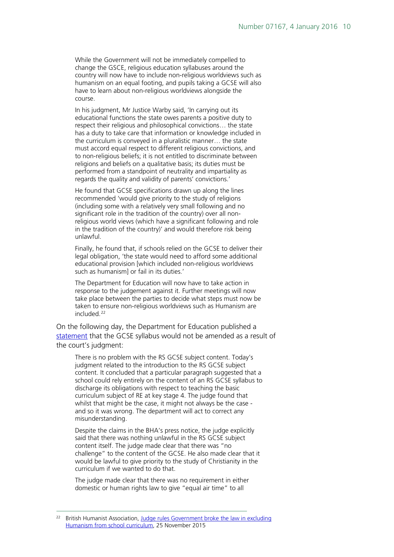While the Government will not be immediately compelled to change the GSCE, religious education syllabuses around the country will now have to include non-religious worldviews such as humanism on an equal footing, and pupils taking a GCSE will also have to learn about non-religious worldviews alongside the course.

In his judgment, Mr Justice Warby said, 'In carrying out its educational functions the state owes parents a positive duty to respect their religious and philosophical convictions… the state has a duty to take care that information or knowledge included in the curriculum is conveyed in a pluralistic manner… the state must accord equal respect to different religious convictions, and to non-religious beliefs; it is not entitled to discriminate between religions and beliefs on a qualitative basis; its duties must be performed from a standpoint of neutrality and impartiality as regards the quality and validity of parents' convictions.'

He found that GCSE specifications drawn up along the lines recommended 'would give priority to the study of religions (including some with a relatively very small following and no significant role in the tradition of the country) over all nonreligious world views (which have a significant following and role in the tradition of the country)' and would therefore risk being unlawful.

Finally, he found that, if schools relied on the GCSE to deliver their legal obligation, 'the state would need to afford some additional educational provision [which included non-religious worldviews such as humanism] or fail in its duties.'

The Department for Education will now have to take action in response to the judgement against it. Further meetings will now take place between the parties to decide what steps must now be taken to ensure non-religious worldviews such as Humanism are included.<sup>[22](#page-9-0)</sup>

On the following day, the Department for Education published a [statement](https://www.gov.uk/government/news/statement-on-the-religious-studies-gcse-judicial-review) that the GCSE syllabus would not be amended as a result of the court's judgment:

There is no problem with the RS GCSE subject content. Today's judgment related to the introduction to the RS GCSE subject content. It concluded that a particular paragraph suggested that a school could rely entirely on the content of an RS GCSE syllabus to discharge its obligations with respect to teaching the basic curriculum subject of RE at key stage 4. The judge found that whilst that might be the case, it might not always be the case and so it was wrong. The department will act to correct any misunderstanding.

Despite the claims in the BHA's press notice, the judge explicitly said that there was nothing unlawful in the RS GCSE subject content itself. The judge made clear that there was "no challenge" to the content of the GCSE. He also made clear that it would be lawful to give priority to the study of Christianity in the curriculum if we wanted to do that.

The judge made clear that there was no requirement in either domestic or human rights law to give "equal air time" to all

<span id="page-9-0"></span>British Humanist Association, Judge rules Government broke the law in excluding [Humanism from school curriculum,](https://humanism.org.uk/2015/11/25/judge-rules-government-broke-the-law-in-excluding-humanism-from-school-curriculum/) 25 November 2015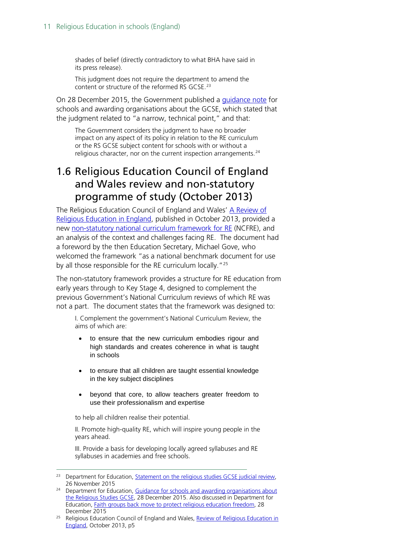shades of belief (directly contradictory to what BHA have said in its press release).

This judgment does not require the department to amend the content or structure of the reformed RS GCSE.<sup>[23](#page-10-1)</sup>

On 28 December 2015, the Government published a [guidance note](https://www.gov.uk/government/uploads/system/uploads/attachment_data/file/488477/RS_guidance.pdf) for schools and awarding organisations about the GCSE, which stated that the judgment related to "a narrow, technical point," and that:

The Government considers the judgment to have no broader impact on any aspect of its policy in relation to the RE curriculum or the RS GCSE subject content for schools with or without a religious character, nor on the current inspection arrangements.<sup>[24](#page-10-2)</sup>

### <span id="page-10-0"></span>1.6 Religious Education Council of England and Wales review and non-statutory programme of study (October 2013)

The Religious Education Council of England and Wales' [A Review of](http://www.natre.org.uk/uploads/Free%20Resources/2013%20Review%20of%20Religious%20Education%20in%20England.pdf)  [Religious Education in England,](http://www.natre.org.uk/uploads/Free%20Resources/2013%20Review%20of%20Religious%20Education%20in%20England.pdf) published in October 2013, provided a new [non-statutory national curriculum framework for RE](http://www.natre.org.uk/uploads/Free%20Resources/RE_Review_Summary%20&%20Curriculum%20Framework.pdf) (NCFRE), and an analysis of the context and challenges facing RE. The document had a foreword by the then Education Secretary, Michael Gove, who welcomed the framework "as a national benchmark document for use by all those responsible for the RE curriculum locally.<sup>"[25](#page-10-3)</sup>

The non-statutory framework provides a structure for RE education from early years through to Key Stage 4, designed to complement the previous Government's National Curriculum reviews of which RE was not a part. The document states that the framework was designed to:

I. Complement the government's National Curriculum Review, the aims of which are:

- to ensure that the new curriculum embodies rigour and high standards and creates coherence in what is taught in schools
- to ensure that all children are taught essential knowledge in the key subject disciplines
- beyond that core, to allow teachers greater freedom to use their professionalism and expertise

to help all children realise their potential.

II. Promote high-quality RE, which will inspire young people in the years ahead.

III. Provide a basis for developing locally agreed syllabuses and RE syllabuses in academies and free schools.

<span id="page-10-1"></span><sup>&</sup>lt;sup>23</sup> Department for Education, **Statement on the religious studies GCSE** judicial review, 26 November 2015

<span id="page-10-2"></span><sup>&</sup>lt;sup>24</sup> Department for Education, Guidance for schools and awarding organisations about [the Religious Studies GCSE,](https://www.gov.uk/government/uploads/system/uploads/attachment_data/file/488477/RS_guidance.pdf) 28 December 2015. Also discussed in Department for Education, [Faith groups back move to protect religious education freedom,](https://www.gov.uk/government/news/faith-groups-back-move-to-protect-religious-education-freedom) 28 December 2015

<span id="page-10-3"></span><sup>&</sup>lt;sup>25</sup> Religious Education Council of England and Wales, Review of Religious Education in [England,](http://www.natre.org.uk/uploads/Free%20Resources/2013%20Review%20of%20Religious%20Education%20in%20England.pdf) October 2013, p5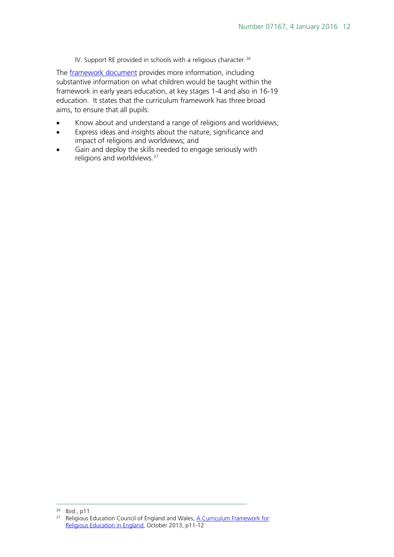IV. Support RE provided in schools with a religious character.<sup>[26](#page-11-0)</sup>

The **framework document** provides more information, including substantive information on what children would be taught within the framework in early years education, at key stages 1-4 and also in 16-19 education. It states that the curriculum framework has three broad aims, to ensure that all pupils:

- Know about and understand a range of religions and worldviews;
- Express ideas and insights about the nature, significance and impact of religions and worldviews; and
- Gain and deploy the skills needed to engage seriously with religions and worldviews.<sup>27</sup>

<span id="page-11-1"></span><span id="page-11-0"></span>26 Ibid., p11

<sup>&</sup>lt;sup>27</sup> Religious Education Council of England and Wales, A Curriculum Framework for [Religious Education in England,](http://www.natre.org.uk/uploads/Free%20Resources/RE_Review_Summary%20&%20Curriculum%20Framework.pdf) October 2013, p11-12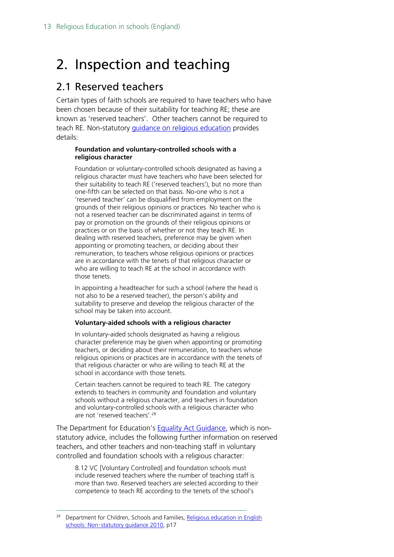# <span id="page-12-0"></span>2. Inspection and teaching

### <span id="page-12-1"></span>2.1 Reserved teachers

Certain types of faith schools are required to have teachers who have been chosen because of their suitability for teaching RE; these are known as 'reserved teachers'. Other teachers cannot be required to teach RE. Non-statutory [guidance on religious education](https://www.gov.uk/government/uploads/system/uploads/attachment_data/file/190260/DCSF-00114-2010.pdf) provides details:

#### **Foundation and voluntary-controlled schools with a religious character**

Foundation or voluntary-controlled schools designated as having a religious character must have teachers who have been selected for their suitability to teach RE ('reserved teachers'), but no more than one-fifth can be selected on that basis. No-one who is not a 'reserved teacher' can be disqualified from employment on the grounds of their religious opinions or practices. No teacher who is not a reserved teacher can be discriminated against in terms of pay or promotion on the grounds of their religious opinions or practices or on the basis of whether or not they teach RE. In dealing with reserved teachers, preference may be given when appointing or promoting teachers, or deciding about their remuneration, to teachers whose religious opinions or practices are in accordance with the tenets of that religious character or who are willing to teach RE at the school in accordance with those tenets.

In appointing a headteacher for such a school (where the head is not also to be a reserved teacher), the person's ability and suitability to preserve and develop the religious character of the school may be taken into account.

#### **Voluntary-aided schools with a religious character**

In voluntary-aided schools designated as having a religious character preference may be given when appointing or promoting teachers, or deciding about their remuneration, to teachers whose religious opinions or practices are in accordance with the tenets of that religious character or who are willing to teach RE at the school in accordance with those tenets.

Certain teachers cannot be required to teach RE. The category extends to teachers in community and foundation and voluntary schools without a religious character, and teachers in foundation and voluntary-controlled schools with a religious character who are not 'reserved teachers'.<sup>[28](#page-12-2)</sup>

The Department for Education's **Equality Act Guidance**, which is nonstatutory advice, includes the following further information on reserved teachers, and other teachers and non-teaching staff in voluntary controlled and foundation schools with a religious character:

8.12 VC [Voluntary Controlled] and foundation schools must include reserved teachers where the number of teaching staff is more than two. Reserved teachers are selected according to their competence to teach RE according to the tenets of the school's

<span id="page-12-2"></span><sup>&</sup>lt;sup>28</sup> Department for Children, Schools and Families, Religious education in English schools: Non-[statutory guidance 2010,](https://www.gov.uk/government/uploads/system/uploads/attachment_data/file/190260/DCSF-00114-2010.pdf) p17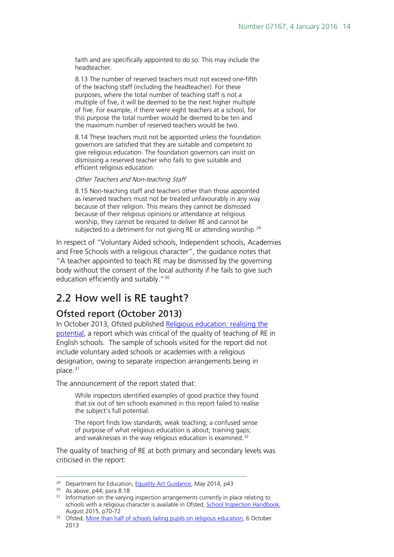faith and are specifically appointed to do so. This may include the headteacher.

8.13 The number of reserved teachers must not exceed one-fifth of the teaching staff (including the headteacher). For these purposes, where the total number of teaching staff is not a multiple of five, it will be deemed to be the next higher multiple of five. For example, if there were eight teachers at a school, for this purpose the total number would be deemed to be ten and the maximum number of reserved teachers would be two.

8.14 These teachers must not be appointed unless the foundation governors are satisfied that they are suitable and competent to give religious education. The foundation governors can insist on dismissing a reserved teacher who fails to give suitable and efficient religious education.

Other Teachers and Non-teaching Staff

8.15 Non-teaching staff and teachers other than those appointed as reserved teachers must not be treated unfavourably in any way because of their religion. This means they cannot be dismissed because of their religious opinions or attendance at religious worship, they cannot be required to deliver RE and cannot be subjected to a detriment for not giving RE or attending worship.<sup>[29](#page-13-2)</sup>

In respect of "Voluntary Aided schools, Independent schools, Academies and Free Schools with a religious character", the guidance notes that "A teacher appointed to teach RE may be dismissed by the governing body without the consent of the local authority if he fails to give such education efficiently and suitably."<sup>[30](#page-13-3)</sup>

# <span id="page-13-0"></span>2.2 How well is RE taught?

### <span id="page-13-1"></span>Ofsted report (October 2013)

In October 2013, Ofsted published [Religious education: realising the](http://dera.ioe.ac.uk/18522/1/Religious%20education%20-%20realising%20the%20potential.pdf)  [potential,](http://dera.ioe.ac.uk/18522/1/Religious%20education%20-%20realising%20the%20potential.pdf) a report which was critical of the quality of teaching of RE in English schools. The sample of schools visited for the report did not include voluntary aided schools or academies with a religious designation, owing to separate inspection arrangements being in place.<sup>[31](#page-13-4)</sup>

The announcement of the report stated that:

While inspectors identified examples of good practice they found that six out of ten schools examined in this report failed to realise the subject's full potential.

The report finds low standards; weak teaching; a confused sense of purpose of what religious education is about; training gaps; and weaknesses in the way religious education is examined.<sup>[32](#page-13-5)</sup>

The quality of teaching of RE at both primary and secondary levels was criticised in the report:

<span id="page-13-2"></span><sup>&</sup>lt;sup>29</sup> Department for Education, [Equality Act Guidance,](https://www.gov.uk/government/uploads/system/uploads/attachment_data/file/315587/Equality_Act_Advice_Final.pdf) May 2014, p43

<sup>&</sup>lt;sup>30</sup> As above, p44, para 8.18

<span id="page-13-4"></span><span id="page-13-3"></span><sup>&</sup>lt;sup>31</sup> Information on the varying inspection arrangements currently in place relating to schools with a religious character is available in Ofsted, [School Inspection Handbook,](https://www.gov.uk/government/uploads/system/uploads/attachment_data/file/458866/School_inspection_handbook_section_5_from_September_2015.pdf) August 2015, p70-72

<span id="page-13-5"></span><sup>&</sup>lt;sup>32</sup> Ofsted, [More than half of schools failing pupils on religious education,](https://www.gov.uk/government/news/more-than-half-of-schools-failing-pupils-on-religious-education) 6 October 2013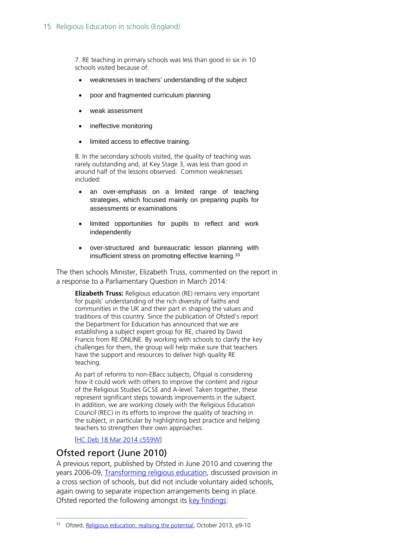7. RE teaching in primary schools was less than good in six in 10 schools visited because of:

- weaknesses in teachers' understanding of the subject
- poor and fragmented curriculum planning
- weak assessment
- ineffective monitoring
- limited access to effective training.

8. In the secondary schools visited, the quality of teaching was rarely outstanding and, at Key Stage 3, was less than good in around half of the lessons observed. Common weaknesses included:

- an over-emphasis on a limited range of teaching strategies, which focused mainly on preparing pupils for assessments or examinations
- limited opportunities for pupils to reflect and work independently
- over-structured and bureaucratic lesson planning with insufficient stress on promoting effective learning.[33](#page-14-1)

The then schools Minister, Elizabeth Truss, commented on the report in a response to a Parliamentary Question in March 2014:

**Elizabeth Truss:** Religious education (RE) remains very important for pupils' understanding of the rich diversity of faiths and communities in the UK and their part in shaping the values and traditions of this country. Since the publication of Ofsted's report the Department for Education has announced that we are establishing a subject expert group for RE, chaired by David Francis from RE:ONLINE. By working with schools to clarify the key challenges for them, the group will help make sure that teachers have the support and resources to deliver high quality RE teaching.

As part of reforms to non-EBacc subjects, Ofqual is considering how it could work with others to improve the content and rigour of the Religious Studies GCSE and A-level. Taken together, these represent significant steps towards improvements in the subject. In addition, we are working closely with the Religious Education Council (REC) in its efforts to improve the quality of teaching in the subject, in particular by highlighting best practice and helping teachers to strengthen their own approaches.

[\[HC Deb 18 Mar 2014 c559W\]](http://www.publications.parliament.uk/pa/cm201314/cmhansrd/cm140318/text/140318w0002.htm#140318120000859)

#### <span id="page-14-0"></span>Ofsted report (June 2010)

A previous report, published by Ofsted in June 2010 and covering the years 2006-09, [Transforming religious education,](http://webarchive.nationalarchives.gov.uk/20141124154759/http:/www.ofsted.gov.uk/resources/transforming-religious-education) discussed provision in a cross section of schools, but did not include voluntary aided schools, again owing to separate inspection arrangements being in place. Ofsted reported the following amongst its [key findings:](http://webarchive.nationalarchives.gov.uk/20141124154759/http:/www.ofsted.gov.uk/sites/default/files/documents/surveys-and-good-practice/s/Summary%20-%20Transforming%20religious%20education.pdf)

<span id="page-14-1"></span><sup>33</sup> Ofsted, [Religious education: realising the potential,](http://dera.ioe.ac.uk/18522/1/Religious%20education%20-%20realising%20the%20potential.pdf) October 2013, p9-10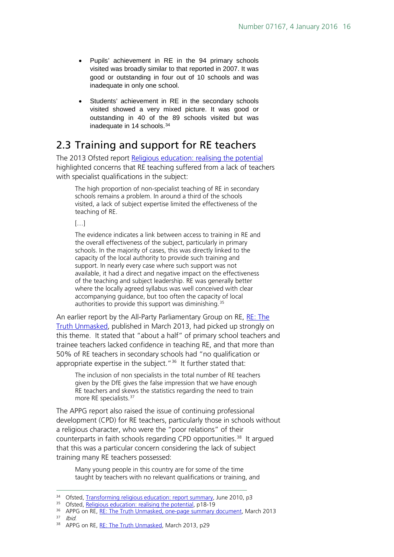- Pupils' achievement in RE in the 94 primary schools visited was broadly similar to that reported in 2007. It was good or outstanding in four out of 10 schools and was inadequate in only one school.
- Students' achievement in RE in the secondary schools visited showed a very mixed picture. It was good or outstanding in 40 of the 89 schools visited but was inadequate in 14 schools.<sup>[34](#page-15-1)</sup>

### <span id="page-15-0"></span>2.3 Training and support for RE teachers

The 2013 Ofsted report [Religious education: realising the potential](http://dera.ioe.ac.uk/18522/1/Religious%20education%20-%20realising%20the%20potential.pdf) highlighted concerns that RE teaching suffered from a lack of teachers with specialist qualifications in the subject:

The high proportion of non-specialist teaching of RE in secondary schools remains a problem. In around a third of the schools visited, a lack of subject expertise limited the effectiveness of the teaching of RE.

[…]

The evidence indicates a link between access to training in RE and the overall effectiveness of the subject, particularly in primary schools. In the majority of cases, this was directly linked to the capacity of the local authority to provide such training and support. In nearly every case where such support was not available, it had a direct and negative impact on the effectiveness of the teaching and subject leadership. RE was generally better where the locally agreed syllabus was well conceived with clear accompanying guidance, but too often the capacity of local authorities to provide this support was diminishing.<sup>[35](#page-15-2)</sup>

An earlier report by the All-Party Parliamentary Group on RE, [RE: The](http://religiouseducationcouncil.org.uk/media/file/APPG_RE_-_The_Truth_Unmasked.pdf)  [Truth Unmasked,](http://religiouseducationcouncil.org.uk/media/file/APPG_RE_-_The_Truth_Unmasked.pdf) published in March 2013, had picked up strongly on this theme. It stated that "about a half" of primary school teachers and trainee teachers lacked confidence in teaching RE, and that more than 50% of RE teachers in secondary schools had "no qualification or appropriate expertise in the subject."<sup>[36](#page-15-3)</sup> It further stated that:

The inclusion of non specialists in the total number of RE teachers given by the DfE gives the false impression that we have enough RE teachers and skews the statistics regarding the need to train more RE specialists.<sup>[37](#page-15-4)</sup>

The APPG report also raised the issue of continuing professional development (CPD) for RE teachers, particularly those in schools without a religious character, who were the "poor relations" of their counterparts in faith schools regarding CPD opportunities.<sup>[38](#page-15-5)</sup> It argued that this was a particular concern considering the lack of subject training many RE teachers possessed:

Many young people in this country are for some of the time taught by teachers with no relevant qualifications or training, and

<span id="page-15-5"></span><span id="page-15-4"></span> $37$  Ibid.

<span id="page-15-1"></span><sup>&</sup>lt;sup>34</sup> Ofsted, [Transforming religious education: report summary,](http://webarchive.nationalarchives.gov.uk/20141124154759/http:/www.ofsted.gov.uk/sites/default/files/documents/surveys-and-good-practice/s/Summary%20-%20Transforming%20religious%20education.pdf) June 2010, p3

<span id="page-15-2"></span><sup>&</sup>lt;sup>35</sup> Ofsted, [Religious education: realising the potential,](http://dera.ioe.ac.uk/18522/1/Religious%20education%20-%20realising%20the%20potential.pdf) p18-19

<span id="page-15-3"></span><sup>&</sup>lt;sup>36</sup> APPG on RE, [RE: The Truth Unmasked, one-page summary document,](http://religiouseducationcouncil.org.uk/media/file/APPG_RE_one_page_summary.pdf) March 2013

<sup>38</sup> APPG on RE, [RE: The Truth Unmasked,](http://religiouseducationcouncil.org.uk/media/file/APPG_RE_-_The_Truth_Unmasked.pdf) March 2013, p29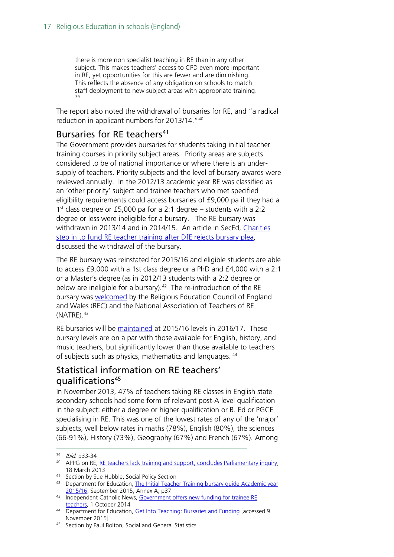there is more non specialist teaching in RE than in any other subject. This makes teachers' access to CPD even more important in RE, yet opportunities for this are fewer and are diminishing. This reflects the absence of any obligation on schools to match staff deployment to new subject areas with appropriate training. [39](#page-16-2)

The report also noted the withdrawal of bursaries for RE, and "a radical reduction in applicant numbers for 2013/14."[40](#page-16-3)

#### <span id="page-16-0"></span>Bursaries for RE teachers<sup>[41](#page-16-4)</sup>

The Government provides bursaries for students taking initial teacher training courses in priority subject areas. Priority areas are subjects considered to be of national importance or where there is an undersupply of teachers. Priority subjects and the level of bursary awards were reviewed annually. In the 2012/13 academic year RE was classified as an 'other priority' subject and trainee teachers who met specified eligibility requirements could access bursaries of £9,000 pa if they had a 1st class degree or £5,000 pa for a 2:1 degree – students with a 2:2 degree or less were ineligible for a bursary. The RE bursary was withdrawn in 2013/14 and in 2014/15. An article in SecEd, [Charities](http://www.sec-ed.co.uk/news/charities-step-in-to-fund-re-teacher-training-after-dfe-rejects-bursary-plea)  [step in to fund RE teacher training after DfE rejects bursary plea,](http://www.sec-ed.co.uk/news/charities-step-in-to-fund-re-teacher-training-after-dfe-rejects-bursary-plea) discussed the withdrawal of the bursary.

The RE bursary was reinstated for 2015/16 and eligible students are able to access £9,000 with a 1st class degree or a PhD and £4,000 with a 2:1 or a Master's degree (as in 2012/13 students with a 2:2 degree or below are ineligible for a bursary).<sup>[42](#page-16-5)</sup> The re-introduction of the RE bursary was **[welcomed](http://www.indcatholicnews.com/news.php?viewStory=25661)** by the Religious Education Council of England and Wales (REC) and the National Association of Teachers of RE  $(NATRE).<sup>43</sup>$  $(NATRE).<sup>43</sup>$  $(NATRE).<sup>43</sup>$ 

RE bursaries will be [maintained](https://getintoteaching.education.gov.uk/bursaries-and-funding) at 2015/16 levels in 2016/17. These bursary levels are on a par with those available for English, history, and music teachers, but significantly lower than those available to teachers of subjects such as physics, mathematics and languages. [44](#page-16-7)

### <span id="page-16-1"></span>Statistical information on RE teachers' qualifications<sup>[45](#page-16-8)</sup>

In November 2013, 47% of teachers taking RE classes in English state secondary schools had some form of relevant post-A level qualification in the subject: either a degree or higher qualification or B. Ed or PGCE specialising in RE. This was one of the lowest rates of any of the 'major' subjects, well below rates in maths (78%), English (80%), the sciences (66-91%), History (73%), Geography (67%) and French (67%). Among

<span id="page-16-3"></span><span id="page-16-2"></span><sup>&</sup>lt;sup>39</sup> *Ibid*. p33-34<br><sup>40</sup> APPG on RE, <u>RE teachers lack training and support, concludes Parliamentary inquiry,</u> 18 March 2013

<span id="page-16-4"></span><sup>41</sup> Section by Sue Hubble, Social Policy Section

<span id="page-16-5"></span><sup>42</sup> Department for Education, The Initial Teacher Training bursary guide Academic year [2015/16,](https://www.gov.uk/government/uploads/system/uploads/attachment_data/file/460917/150911_Training_Bursary_Guide_AY15_16_CCJW_V1.2KW.pdf) September 2015, Annex A, p37

<span id="page-16-6"></span><sup>43</sup> Independent Catholic News, Government offers new funding for trainee RE [teachers,](http://www.indcatholicnews.com/news.php?viewStory=25661) 1 October 2014

<span id="page-16-7"></span><sup>&</sup>lt;sup>44</sup> Department for Education, [Get Into Teaching: Bursaries and Funding](https://getintoteaching.education.gov.uk/bursaries-and-funding) [accessed 9 November 2015]

<span id="page-16-8"></span><sup>45</sup> Section by Paul Bolton, Social and General Statistics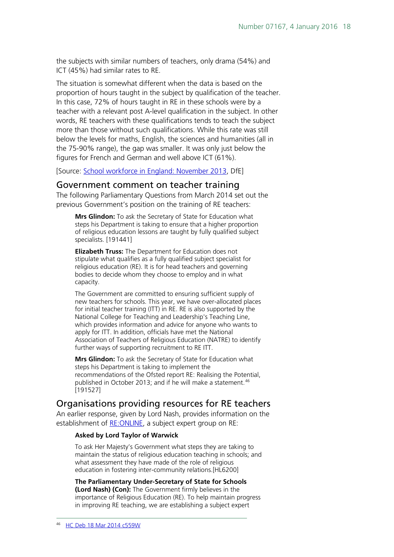the subjects with similar numbers of teachers, only drama (54%) and ICT (45%) had similar rates to RE.

The situation is somewhat different when the data is based on the proportion of hours taught in the subject by qualification of the teacher. In this case, 72% of hours taught in RE in these schools were by a teacher with a relevant post A-level qualification in the subject. In other words, RE teachers with these qualifications tends to teach the subject more than those without such qualifications. While this rate was still below the levels for maths, English, the sciences and humanities (all in the 75-90% range), the gap was smaller. It was only just below the figures for French and German and well above ICT (61%).

[Source: [School workforce in England: November 2013,](https://www.gov.uk/government/statistics/school-workforce-in-england-november-2013) DfE]

#### <span id="page-17-0"></span>Government comment on teacher training

The following Parliamentary Questions from March 2014 set out the previous Government's position on the training of RE teachers:

**Mrs Glindon:** To ask the Secretary of State for Education what steps his Department is taking to ensure that a higher proportion of religious education lessons are taught by fully qualified subject specialists. [191441]

**Elizabeth Truss:** The Department for Education does not stipulate what qualifies as a fully qualified subject specialist for religious education (RE). It is for head teachers and governing bodies to decide whom they choose to employ and in what capacity.

The Government are committed to ensuring sufficient supply of new teachers for schools. This year, we have over-allocated places for initial teacher training (ITT) in RE. RE is also supported by the National College for Teaching and Leadership's Teaching Line, which provides information and advice for anyone who wants to apply for ITT. In addition, officials have met the National Association of Teachers of Religious Education (NATRE) to identify further ways of supporting recruitment to RE ITT.

**Mrs Glindon:** To ask the Secretary of State for Education what steps his Department is taking to implement the recommendations of the Ofsted report RE: Realising the Potential, published in October 2013; and if he will make a statement.<sup>[46](#page-17-2)</sup> [191527]

### <span id="page-17-1"></span>Organisations providing resources for RE teachers

An earlier response, given by Lord Nash, provides information on the establishment of RE: ONLINE, a subject expert group on RE:

#### **Asked by Lord Taylor of Warwick**

To ask Her Majesty's Government what steps they are taking to maintain the status of religious education teaching in schools; and what assessment they have made of the role of religious education in fostering inter-community relations.[HL6200]

<span id="page-17-2"></span>**The Parliamentary Under-Secretary of State for Schools (Lord Nash) (Con):** The Government firmly believes in the importance of Religious Education (RE). To help maintain progress in improving RE teaching, we are establishing a subject expert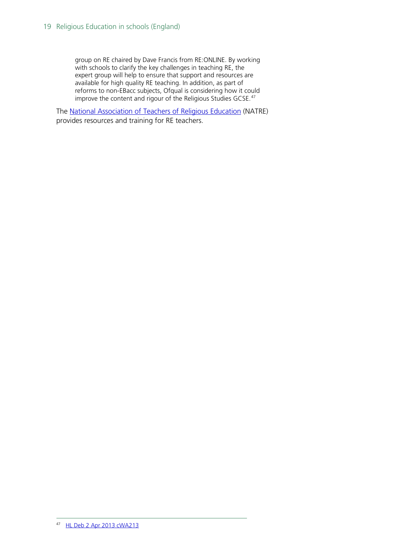group on RE chaired by Dave Francis from RE:ONLINE. By working with schools to clarify the key challenges in teaching RE, the expert group will help to ensure that support and resources are available for high quality RE teaching. In addition, as part of reforms to non-EBacc subjects, Ofqual is considering how it could improve the content and rigour of the Religious Studies GCSE.[47](#page-18-0)

<span id="page-18-0"></span>The [National Association of Teachers of Religious Education](http://www.natre.org.uk/) (NATRE) provides resources and training for RE teachers.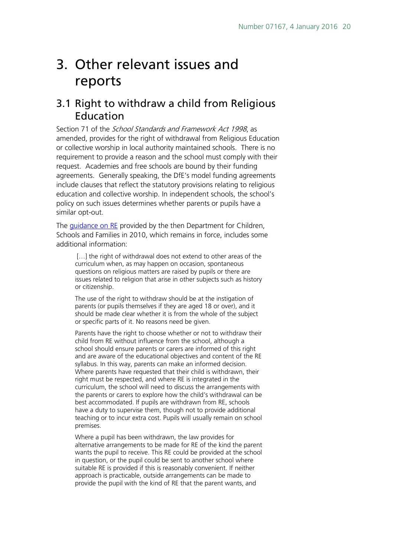# <span id="page-19-0"></span>3. Other relevant issues and reports

### <span id="page-19-1"></span>3.1 Right to withdraw a child from Religious Education

Section 71 of the *School Standards and Framework Act 1998*, as amended, provides for the right of withdrawal from Religious Education or collective worship in local authority maintained schools. There is no requirement to provide a reason and the school must comply with their request. Academies and free schools are bound by their funding agreements. Generally speaking, the DfE's model funding agreements include clauses that reflect the statutory provisions relating to religious education and collective worship. In independent schools, the school's policy on such issues determines whether parents or pupils have a similar opt-out.

The *guidance on RE* provided by the then Department for Children, Schools and Families in 2010, which remains in force, includes some additional information:

[...] the right of withdrawal does not extend to other areas of the curriculum when, as may happen on occasion, spontaneous questions on religious matters are raised by pupils or there are issues related to religion that arise in other subjects such as history or citizenship.

The use of the right to withdraw should be at the instigation of parents (or pupils themselves if they are aged 18 or over), and it should be made clear whether it is from the whole of the subject or specific parts of it. No reasons need be given.

Parents have the right to choose whether or not to withdraw their child from RE without influence from the school, although a school should ensure parents or carers are informed of this right and are aware of the educational objectives and content of the RE syllabus. In this way, parents can make an informed decision. Where parents have requested that their child is withdrawn, their right must be respected, and where RE is integrated in the curriculum, the school will need to discuss the arrangements with the parents or carers to explore how the child's withdrawal can be best accommodated. If pupils are withdrawn from RE, schools have a duty to supervise them, though not to provide additional teaching or to incur extra cost. Pupils will usually remain on school premises.

Where a pupil has been withdrawn, the law provides for alternative arrangements to be made for RE of the kind the parent wants the pupil to receive. This RE could be provided at the school in question, or the pupil could be sent to another school where suitable RE is provided if this is reasonably convenient. If neither approach is practicable, outside arrangements can be made to provide the pupil with the kind of RE that the parent wants, and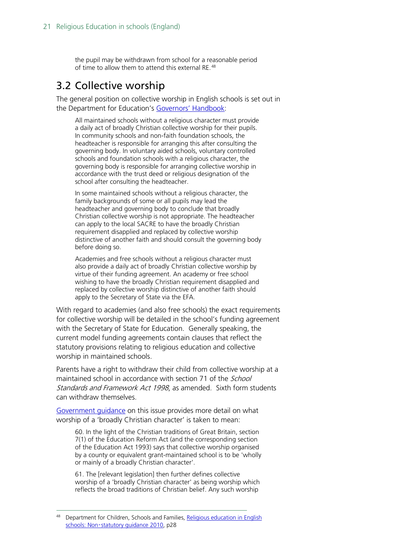the pupil may be withdrawn from school for a reasonable period of time to allow them to attend this external RE.<sup>[48](#page-20-1)</sup>

### <span id="page-20-0"></span>3.2 Collective worship

The general position on collective worship in English schools is set out in the Department for Education's [Governors' Handbook:](https://www.gov.uk/government/uploads/system/uploads/attachment_data/file/395789/Governors_Handbook.pdf)

All maintained schools without a religious character must provide a daily act of broadly Christian collective worship for their pupils. In community schools and non-faith foundation schools, the headteacher is responsible for arranging this after consulting the governing body. In voluntary aided schools, voluntary controlled schools and foundation schools with a religious character, the governing body is responsible for arranging collective worship in accordance with the trust deed or religious designation of the school after consulting the headteacher.

In some maintained schools without a religious character, the family backgrounds of some or all pupils may lead the headteacher and governing body to conclude that broadly Christian collective worship is not appropriate. The headteacher can apply to the local SACRE to have the broadly Christian requirement disapplied and replaced by collective worship distinctive of another faith and should consult the governing body before doing so.

Academies and free schools without a religious character must also provide a daily act of broadly Christian collective worship by virtue of their funding agreement. An academy or free school wishing to have the broadly Christian requirement disapplied and replaced by collective worship distinctive of another faith should apply to the Secretary of State via the EFA.

With regard to academies (and also free schools) the exact requirements for collective worship will be detailed in the school's funding agreement with the Secretary of State for Education. Generally speaking, the current model funding agreements contain clauses that reflect the statutory provisions relating to religious education and collective worship in maintained schools.

Parents have a right to withdraw their child from collective worship at a maintained school in accordance with section 71 of the *School* Standards and Framework Act 1998, as amended. Sixth form students can withdraw themselves.

Government quidance on this issue provides more detail on what worship of a 'broadly Christian character' is taken to mean:

60. In the light of the Christian traditions of Great Britain, section 7(1) of the Education Reform Act (and the corresponding section of the Education Act 1993) says that collective worship organised by a county or equivalent grant-maintained school is to be 'wholly or mainly of a broadly Christian character'.

61. The [relevant legislation] then further defines collective worship of a 'broadly Christian character' as being worship which reflects the broad traditions of Christian belief. Any such worship

<span id="page-20-1"></span>Department for Children, Schools and Families, Religious education in English schools: Non-[statutory guidance 2010,](https://www.gov.uk/government/uploads/system/uploads/attachment_data/file/190260/DCSF-00114-2010.pdf) p28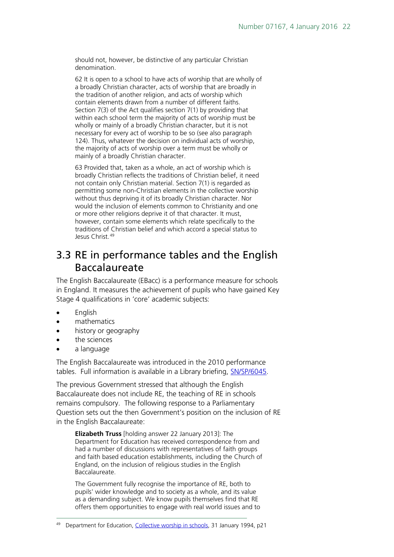should not, however, be distinctive of any particular Christian denomination.

62 It is open to a school to have acts of worship that are wholly of a broadly Christian character, acts of worship that are broadly in the tradition of another religion, and acts of worship which contain elements drawn from a number of different faiths. Section 7(3) of the Act qualifies section 7(1) by providing that within each school term the majority of acts of worship must be wholly or mainly of a broadly Christian character, but it is not necessary for every act of worship to be so (see also paragraph 124). Thus, whatever the decision on individual acts of worship, the majority of acts of worship over a term must be wholly or mainly of a broadly Christian character.

63 Provided that, taken as a whole, an act of worship which is broadly Christian reflects the traditions of Christian belief, it need not contain only Christian material. Section 7(1) is regarded as permitting some non-Christian elements in the collective worship without thus depriving it of its broadly Christian character. Nor would the inclusion of elements common to Christianity and one or more other religions deprive it of that character. It must, however, contain some elements which relate specifically to the traditions of Christian belief and which accord a special status to Jesus Christ.<sup>[49](#page-21-1)</sup>

### <span id="page-21-0"></span>3.3 RE in performance tables and the English Baccalaureate

The English Baccalaureate (EBacc) is a performance measure for schools in England. It measures the achievement of pupils who have gained Key Stage 4 qualifications in 'core' academic subjects:

- English
- mathematics
- history or geography
- the sciences
- a language

The English Baccalaureate was introduced in the 2010 performance tables. Full information is available in a Library briefing, [SN/SP/6045.](http://www.parliament.uk/briefing-papers/SN06045/english-baccalaureate)

The previous Government stressed that although the English Baccalaureate does not include RE, the teaching of RE in schools remains compulsory. The following response to a Parliamentary Question sets out the then Government's position on the inclusion of RE in the English Baccalaureate:

**Elizabeth Truss** [holding answer 22 January 2013]: The Department for Education has received correspondence from and had a number of discussions with representatives of faith groups and faith based education establishments, including the Church of England, on the inclusion of religious studies in the English Baccalaureate.

The Government fully recognise the importance of RE, both to pupils' wider knowledge and to society as a whole, and its value as a demanding subject. We know pupils themselves find that RE offers them opportunities to engage with real world issues and to

<span id="page-21-1"></span><sup>49</sup> Department for Education, [Collective worship in schools,](https://www.gov.uk/government/publications/collective-worship-in-schools) 31 January 1994, p21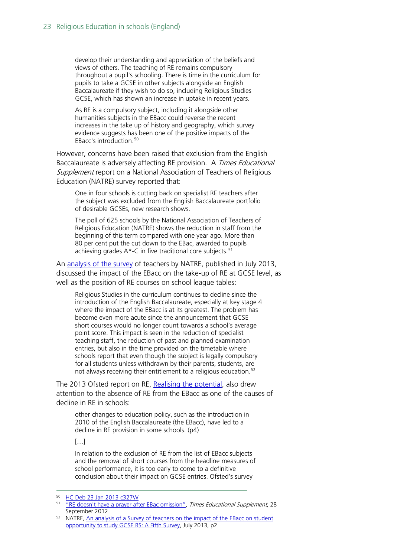develop their understanding and appreciation of the beliefs and views of others. The teaching of RE remains compulsory throughout a pupil's schooling. There is time in the curriculum for pupils to take a GCSE in other subjects alongside an English Baccalaureate if they wish to do so, including Religious Studies GCSE, which has shown an increase in uptake in recent years.

As RE is a compulsory subject, including it alongside other humanities subjects in the EBacc could reverse the recent increases in the take up of history and geography, which survey evidence suggests has been one of the positive impacts of the EBacc's introduction.[50](#page-22-0)

However, concerns have been raised that exclusion from the English Baccalaureate is adversely affecting RE provision. A Times Educational Supplement report on a National Association of Teachers of Religious Education (NATRE) survey reported that:

One in four schools is cutting back on specialist RE teachers after the subject was excluded from the English Baccalaureate portfolio of desirable GCSEs, new research shows.

The poll of 625 schools by the National Association of Teachers of Religious Education (NATRE) shows the reduction in staff from the beginning of this term compared with one year ago. More than 80 per cent put the cut down to the EBac, awarded to pupils achieving grades  $A^*$ -C in five traditional core subjects.<sup>[51](#page-22-1)</sup>

An [analysis of the survey](http://www.retoday.org.uk/media/display/NATRE_EBacc_Survey_2013_final.pdf) of teachers by NATRE, published in July 2013, discussed the impact of the EBacc on the take-up of RE at GCSE level, as well as the position of RE courses on school league tables:

Religious Studies in the curriculum continues to decline since the introduction of the English Baccalaureate, especially at key stage 4 where the impact of the EBacc is at its greatest. The problem has become even more acute since the announcement that GCSE short courses would no longer count towards a school's average point score. This impact is seen in the reduction of specialist teaching staff, the reduction of past and planned examination entries, but also in the time provided on the timetable where schools report that even though the subject is legally compulsory for all students unless withdrawn by their parents, students, are not always receiving their entitlement to a religious education.<sup>[52](#page-22-2)</sup>

The 2013 Ofsted report on RE, [Realising the potential,](http://dera.ioe.ac.uk/18522/1/Religious%20education%20-%20realising%20the%20potential.pdf) also drew attention to the absence of RE from the EBacc as one of the causes of decline in RE in schools:

other changes to education policy, such as the introduction in 2010 of the English Baccalaureate (the EBacc), have led to a decline in RE provision in some schools. (p4)

[…]

In relation to the exclusion of RE from the list of EBacc subjects and the removal of short courses from the headline measures of school performance, it is too early to come to a definitive conclusion about their impact on GCSE entries. Ofsted's survey

<span id="page-22-0"></span> <sup>50</sup> [HC Deb 23 Jan 2013 c327W](http://www.publications.parliament.uk/pa/cm201213/cmhansrd/cm130123/text/130123w0002.htm#13012373000660)

<span id="page-22-1"></span><sup>&</sup>lt;sup>51</sup> ["RE doesn't have a prayer after EBac omission",](http://www.tes.co.uk/article.aspx?storycode=6292649) Times Educational Supplement, 28 September 2012

<span id="page-22-2"></span><sup>52</sup> NATRE, [An analysis of a Survey of teachers on the impact of the EBacc on student](http://www.retoday.org.uk/media/display/NATRE_EBacc_Survey_2013_final.pdf)  [opportunity to study GCSE RS: A Fifth Survey,](http://www.retoday.org.uk/media/display/NATRE_EBacc_Survey_2013_final.pdf) July 2013, p2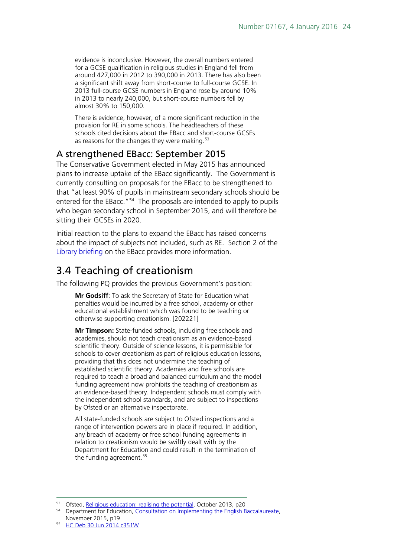evidence is inconclusive. However, the overall numbers entered for a GCSE qualification in religious studies in England fell from around 427,000 in 2012 to 390,000 in 2013. There has also been a significant shift away from short-course to full-course GCSE. In 2013 full-course GCSE numbers in England rose by around 10% in 2013 to nearly 240,000, but short-course numbers fell by almost 30% to 150,000.

There is evidence, however, of a more significant reduction in the provision for RE in some schools. The headteachers of these schools cited decisions about the EBacc and short-course GCSEs as reasons for the changes they were making.<sup>[53](#page-23-2)</sup>

### <span id="page-23-0"></span>A strengthened EBacc: September 2015

The Conservative Government elected in May 2015 has announced plans to increase uptake of the EBacc significantly. The Government is currently consulting on proposals for the EBacc to be strengthened to that "at least 90% of pupils in mainstream secondary schools should be entered for the EBacc."<sup>54</sup> The proposals are intended to apply to pupils who began secondary school in September 2015, and will therefore be sitting their GCSEs in 2020.

Initial reaction to the plans to expand the EBacc has raised concerns about the impact of subjects not included, such as RE. Section 2 of the [Library briefing](http://researchbriefings.parliament.uk/ResearchBriefing/Summary/SN06045) on the EBacc provides more information.

## <span id="page-23-1"></span>3.4 Teaching of creationism

The following PQ provides the previous Government's position:

**Mr Godsiff**: To ask the Secretary of State for Education what penalties would be incurred by a free school, academy or other educational establishment which was found to be teaching or otherwise supporting creationism. [202221]

**Mr Timpson:** State-funded schools, including free schools and academies, should not teach creationism as an evidence-based scientific theory. Outside of science lessons, it is permissible for schools to cover creationism as part of religious education lessons, providing that this does not undermine the teaching of established scientific theory. Academies and free schools are required to teach a broad and balanced curriculum and the model funding agreement now prohibits the teaching of creationism as an evidence-based theory. Independent schools must comply with the independent school standards, and are subject to inspections by Ofsted or an alternative inspectorate.

All state-funded schools are subject to Ofsted inspections and a range of intervention powers are in place if required. In addition, any breach of academy or free school funding agreements in relation to creationism would be swiftly dealt with by the Department for Education and could result in the termination of the funding agreement.<sup>[55](#page-23-4)</sup>

<span id="page-23-2"></span><sup>53</sup> Ofsted, [Religious education: realising the potential,](http://dera.ioe.ac.uk/18522/1/Religious%20education%20-%20realising%20the%20potential.pdf) October 2013, p20

<span id="page-23-3"></span><sup>54</sup> Department for Education, [Consultation on Implementing the English Baccalaureate,](https://www.gov.uk/government/uploads/system/uploads/attachment_data/file/473455/Consultation_on_implementing_the_English_Baccalaureate.pdf)  November 2015, p19

<span id="page-23-4"></span><sup>55</sup> [HC Deb 30 Jun 2014 c351W](http://www.publications.parliament.uk/pa/cm201415/cmhansrd/cm140630/text/140630w0001.htm#14063048000150)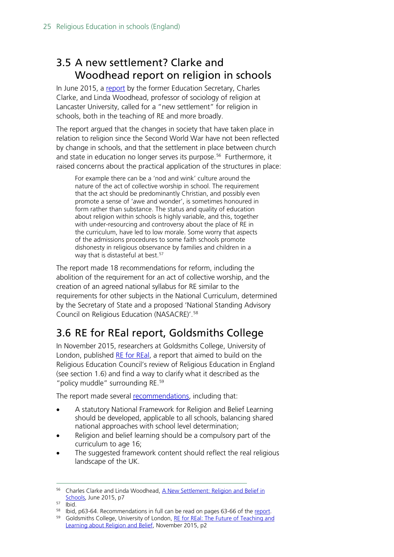## <span id="page-24-0"></span>3.5 A new settlement? Clarke and Woodhead report on religion in schools

In June 2015, a [report](http://charlesclarke.org/wp-content/uploads/2015/06/A-New-Settlement-for-RE-in-schools.pdf) by the former Education Secretary, Charles Clarke, and Linda Woodhead, professor of sociology of religion at Lancaster University, called for a "new settlement" for religion in schools, both in the teaching of RE and more broadly.

The report argued that the changes in society that have taken place in relation to religion since the Second World War have not been reflected by change in schools, and that the settlement in place between church and state in education no longer serves its purpose.<sup>[56](#page-24-2)</sup> Furthermore, it raised concerns about the practical application of the structures in place:

For example there can be a 'nod and wink' culture around the nature of the act of collective worship in school. The requirement that the act should be predominantly Christian, and possibly even promote a sense of 'awe and wonder', is sometimes honoured in form rather than substance. The status and quality of education about religion within schools is highly variable, and this, together with under-resourcing and controversy about the place of RE in the curriculum, have led to low morale. Some worry that aspects of the admissions procedures to some faith schools promote dishonesty in religious observance by families and children in a way that is distasteful at best.<sup>[57](#page-24-3)</sup>

The report made 18 recommendations for reform, including the abolition of the requirement for an act of collective worship, and the creation of an agreed national syllabus for RE similar to the requirements for other subjects in the National Curriculum, determined by the Secretary of State and a proposed 'National Standing Advisory Council on Religious Education (NASACRE)'.[58](#page-24-4)

# <span id="page-24-1"></span>3.6 RE for REal report, Goldsmiths College

In November 2015, researchers at Goldsmiths College, University of London, published [RE for REal,](http://www.gold.ac.uk/faithsunit/reforreal/) a report that aimed to build on the Religious Education Council's review of Religious Education in England (see section 1.6) and find a way to clarify what it described as the "policy muddle" surrounding RE. [59](#page-24-5)

The report made several [recommendations,](http://www.gold.ac.uk/media/goldsmiths/169-images/departments/research-units/faiths-unit/REforREal-Recommendations.pdf) including that:

- A statutory National Framework for Religion and Belief Learning should be developed, applicable to all schools, balancing shared national approaches with school level determination;
- Religion and belief learning should be a compulsory part of the curriculum to age 16;
- The suggested framework content should reflect the real religious landscape of the UK.

<span id="page-24-2"></span><sup>&</sup>lt;sup>56</sup> Charles Clarke and Linda Woodhead, A New Settlement: Religion and Belief in [Schools,](http://charlesclarke.org/wp-content/uploads/2015/06/A-New-Settlement-for-RE-in-schools.pdf) June 2015, p7

<span id="page-24-3"></span><sup>57</sup> Ibid.

<span id="page-24-4"></span><sup>58</sup> Ibid, p63-64. Recommendations in full can be read on pages 63-66 of the [report.](http://charlesclarke.org/wp-content/uploads/2015/06/A-New-Settlement-for-RE-in-schools.pdf)

<span id="page-24-5"></span><sup>&</sup>lt;sup>59</sup> Goldsmiths College, University of London, RE for REal: The Future of Teaching and [Learning about Religion and Belief,](http://www.gold.ac.uk/media/goldsmiths/169-images/departments/research-units/faiths-unit/REforREal-web-b.pdf) November 2015, p2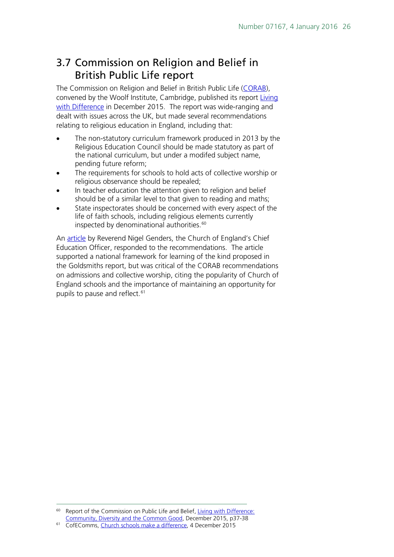## <span id="page-25-0"></span>3.7 Commission on Religion and Belief in British Public Life report

The Commission on Religion and Belief in British Public Life [\(CORAB\)](http://www.corab.org.uk/), convened by the Woolf Institute, Cambridge, published its report Living [with Difference](https://corablivingwithdifference.files.wordpress.com/2015/12/living-with-difference-community-diversity-and-the-common-good.pdf) in December 2015. The report was wide-ranging and dealt with issues across the UK, but made several recommendations relating to religious education in England, including that:

- The non-statutory curriculum framework produced in 2013 by the Religious Education Council should be made statutory as part of the national curriculum, but under a modifed subject name, pending future reform;
- The requirements for schools to hold acts of collective worship or religious observance should be repealed;
- In teacher education the attention given to religion and belief should be of a similar level to that given to reading and maths;
- State inspectorates should be concerned with every aspect of the life of faith schools, including religious elements currently inspected by denominational authorities. [60](#page-25-1)

An [article](http://cofecomms.tumblr.com/post/134520796697/church-schools-make-a-difference) by Reverend Nigel Genders, the Church of England's Chief Education Officer, responded to the recommendations. The article supported a national framework for learning of the kind proposed in the Goldsmiths report, but was critical of the CORAB recommendations on admissions and collective worship, citing the popularity of Church of England schools and the importance of maintaining an opportunity for pupils to pause and reflect.<sup>[61](#page-25-2)</sup>

<span id="page-25-1"></span> <sup>60</sup> Report of the Commission on Public Life and Belief, [Living with Difference:](https://corablivingwithdifference.files.wordpress.com/2015/12/living-with-difference-community-diversity-and-the-common-good.pdf)  [Community, Diversity and the Common Good,](https://corablivingwithdifference.files.wordpress.com/2015/12/living-with-difference-community-diversity-and-the-common-good.pdf) December 2015, p37-38

<span id="page-25-2"></span><sup>&</sup>lt;sup>61</sup> CofEComms, [Church schools make a difference,](http://cofecomms.tumblr.com/post/134520796697/church-schools-make-a-difference) 4 December 2015